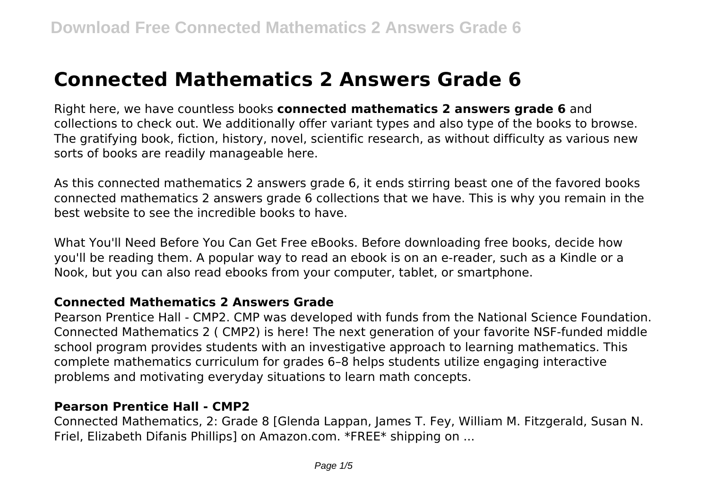# **Connected Mathematics 2 Answers Grade 6**

Right here, we have countless books **connected mathematics 2 answers grade 6** and collections to check out. We additionally offer variant types and also type of the books to browse. The gratifying book, fiction, history, novel, scientific research, as without difficulty as various new sorts of books are readily manageable here.

As this connected mathematics 2 answers grade 6, it ends stirring beast one of the favored books connected mathematics 2 answers grade 6 collections that we have. This is why you remain in the best website to see the incredible books to have.

What You'll Need Before You Can Get Free eBooks. Before downloading free books, decide how you'll be reading them. A popular way to read an ebook is on an e-reader, such as a Kindle or a Nook, but you can also read ebooks from your computer, tablet, or smartphone.

#### **Connected Mathematics 2 Answers Grade**

Pearson Prentice Hall - CMP2. CMP was developed with funds from the National Science Foundation. Connected Mathematics 2 ( CMP2) is here! The next generation of your favorite NSF-funded middle school program provides students with an investigative approach to learning mathematics. This complete mathematics curriculum for grades 6–8 helps students utilize engaging interactive problems and motivating everyday situations to learn math concepts.

## **Pearson Prentice Hall - CMP2**

Connected Mathematics, 2: Grade 8 [Glenda Lappan, James T. Fey, William M. Fitzgerald, Susan N. Friel, Elizabeth Difanis Phillips] on Amazon.com. \*FREE\* shipping on ...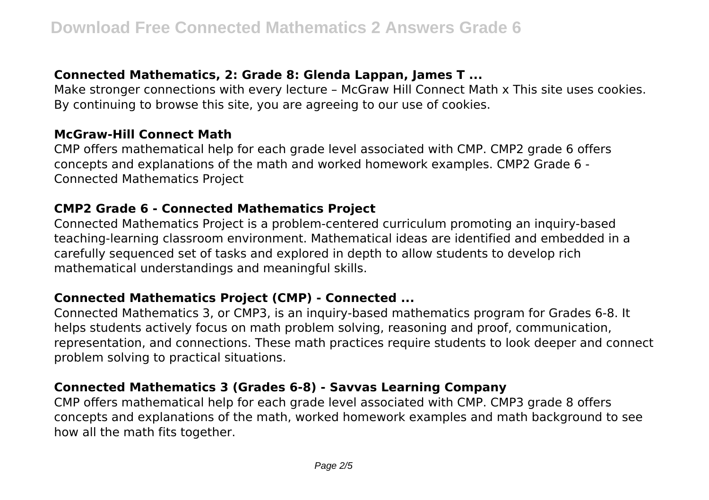# **Connected Mathematics, 2: Grade 8: Glenda Lappan, James T ...**

Make stronger connections with every lecture – McGraw Hill Connect Math x This site uses cookies. By continuing to browse this site, you are agreeing to our use of cookies.

#### **McGraw-Hill Connect Math**

CMP offers mathematical help for each grade level associated with CMP. CMP2 grade 6 offers concepts and explanations of the math and worked homework examples. CMP2 Grade 6 - Connected Mathematics Project

## **CMP2 Grade 6 - Connected Mathematics Project**

Connected Mathematics Project is a problem-centered curriculum promoting an inquiry-based teaching-learning classroom environment. Mathematical ideas are identified and embedded in a carefully sequenced set of tasks and explored in depth to allow students to develop rich mathematical understandings and meaningful skills.

## **Connected Mathematics Project (CMP) - Connected ...**

Connected Mathematics 3, or CMP3, is an inquiry-based mathematics program for Grades 6-8. It helps students actively focus on math problem solving, reasoning and proof, communication, representation, and connections. These math practices require students to look deeper and connect problem solving to practical situations.

# **Connected Mathematics 3 (Grades 6-8) - Savvas Learning Company**

CMP offers mathematical help for each grade level associated with CMP. CMP3 grade 8 offers concepts and explanations of the math, worked homework examples and math background to see how all the math fits together.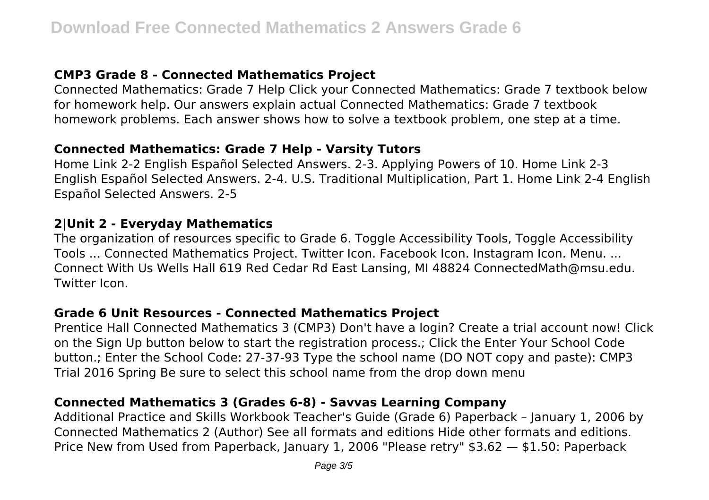## **CMP3 Grade 8 - Connected Mathematics Project**

Connected Mathematics: Grade 7 Help Click your Connected Mathematics: Grade 7 textbook below for homework help. Our answers explain actual Connected Mathematics: Grade 7 textbook homework problems. Each answer shows how to solve a textbook problem, one step at a time.

#### **Connected Mathematics: Grade 7 Help - Varsity Tutors**

Home Link 2-2 English Español Selected Answers. 2-3. Applying Powers of 10. Home Link 2-3 English Español Selected Answers. 2-4. U.S. Traditional Multiplication, Part 1. Home Link 2-4 English Español Selected Answers. 2-5

## **2|Unit 2 - Everyday Mathematics**

The organization of resources specific to Grade 6. Toggle Accessibility Tools, Toggle Accessibility Tools ... Connected Mathematics Project. Twitter Icon. Facebook Icon. Instagram Icon. Menu. ... Connect With Us Wells Hall 619 Red Cedar Rd East Lansing, MI 48824 ConnectedMath@msu.edu. Twitter Icon.

#### **Grade 6 Unit Resources - Connected Mathematics Project**

Prentice Hall Connected Mathematics 3 (CMP3) Don't have a login? Create a trial account now! Click on the Sign Up button below to start the registration process.; Click the Enter Your School Code button.; Enter the School Code: 27-37-93 Type the school name (DO NOT copy and paste): CMP3 Trial 2016 Spring Be sure to select this school name from the drop down menu

# **Connected Mathematics 3 (Grades 6-8) - Savvas Learning Company**

Additional Practice and Skills Workbook Teacher's Guide (Grade 6) Paperback – January 1, 2006 by Connected Mathematics 2 (Author) See all formats and editions Hide other formats and editions. Price New from Used from Paperback, January 1, 2006 "Please retry" \$3.62 — \$1.50: Paperback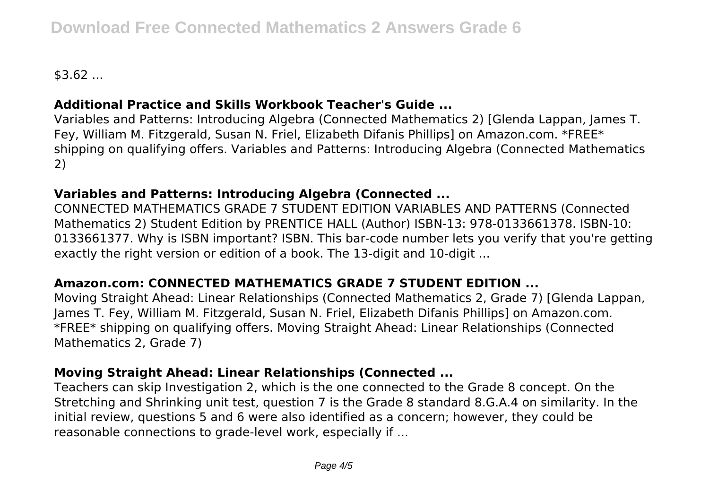$$3.62...$ 

# **Additional Practice and Skills Workbook Teacher's Guide ...**

Variables and Patterns: Introducing Algebra (Connected Mathematics 2) [Glenda Lappan, James T. Fey, William M. Fitzgerald, Susan N. Friel, Elizabeth Difanis Phillips] on Amazon.com. \*FREE\* shipping on qualifying offers. Variables and Patterns: Introducing Algebra (Connected Mathematics 2)

# **Variables and Patterns: Introducing Algebra (Connected ...**

CONNECTED MATHEMATICS GRADE 7 STUDENT EDITION VARIABLES AND PATTERNS (Connected Mathematics 2) Student Edition by PRENTICE HALL (Author) ISBN-13: 978-0133661378. ISBN-10: 0133661377. Why is ISBN important? ISBN. This bar-code number lets you verify that you're getting exactly the right version or edition of a book. The 13-digit and 10-digit ...

# **Amazon.com: CONNECTED MATHEMATICS GRADE 7 STUDENT EDITION ...**

Moving Straight Ahead: Linear Relationships (Connected Mathematics 2, Grade 7) [Glenda Lappan, James T. Fey, William M. Fitzgerald, Susan N. Friel, Elizabeth Difanis Phillips] on Amazon.com. \*FREE\* shipping on qualifying offers. Moving Straight Ahead: Linear Relationships (Connected Mathematics 2, Grade 7)

# **Moving Straight Ahead: Linear Relationships (Connected ...**

Teachers can skip Investigation 2, which is the one connected to the Grade 8 concept. On the Stretching and Shrinking unit test, question 7 is the Grade 8 standard 8.G.A.4 on similarity. In the initial review, questions 5 and 6 were also identified as a concern; however, they could be reasonable connections to grade-level work, especially if ...